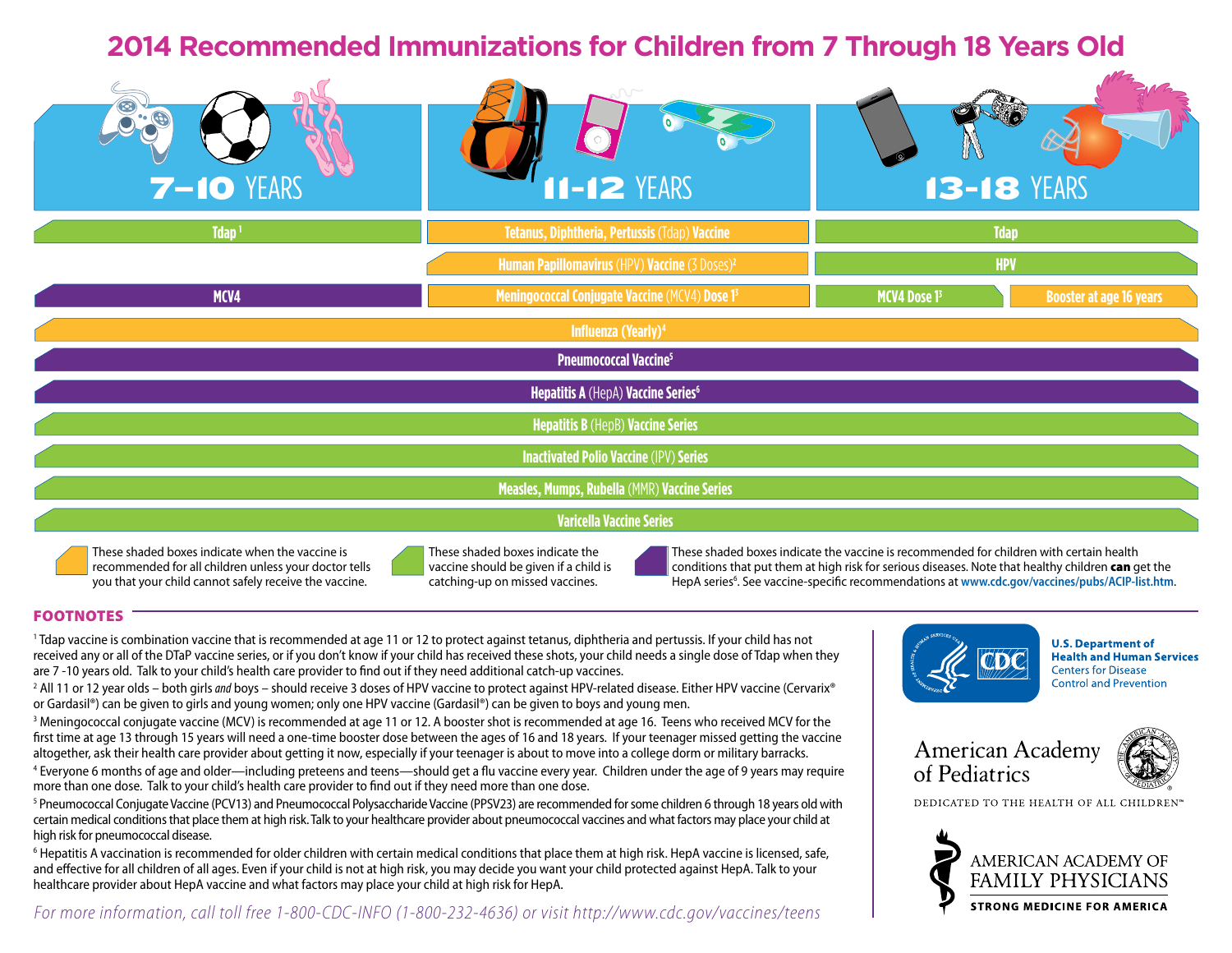# **2014 Recommended Immunizations for Children from 7 Through 18 Years Old**



These shaded boxes indicate when the vaccine is recommended for all children unless your doctor tells you that your child cannot safely receive the vaccine.



These shaded boxes indicate the vaccine should be given if a child is catching-up on missed vaccines.

These shaded boxes indicate the vaccine is recommended for children with certain health conditions that put them at high risk for serious diseases. Note that healthy children can get the HepA series<sup>6</sup>. See vaccine-specific recommendations at [www.cdc.gov/vaccines/pubs/ACIP-list.htm](http://www.cdc.gov/vaccines/hcp/acip-recs/index.html).

## FOOTNOTES

1 Tdap vaccine is combination vaccine that is recommended at age 11 or 12 to protect against tetanus, diphtheria and pertussis. If your child has not received any or all of the DTaP vaccine series, or if you don't know if your child has received these shots, your child needs a single dose of Tdap when they are 7 -10 years old. Talk to your child's health care provider to find out if they need additional catch-up vaccines.

2 All 11 or 12 year olds – both girls *and* boys – should receive 3 doses of HPV vaccine to protect against HPV-related disease. Either HPV vaccine (Cervarix® or Gardasil®) can be given to girls and young women; only one HPV vaccine (Gardasil®) can be given to boys and young men.

3 Meningococcal conjugate vaccine (MCV) is recommended at age 11 or 12. A booster shot is recommended at age 16. Teens who received MCV for the first time at age 13 through 15 years will need a one-time booster dose between the ages of 16 and 18 years. If your teenager missed getting the vaccine altogether, ask their health care provider about getting it now, especially if your teenager is about to move into a college dorm or military barracks.

4 Everyone 6 months of age and older—including preteens and teens—should get a flu vaccine every year. Children under the age of 9 years may require more than one dose. Talk to your child's health care provider to find out if they need more than one dose.

<sup>5</sup> Pneumococcal Conjugate Vaccine (PCV13) and Pneumococcal Polysaccharide Vaccine (PPSV23) are recommended for some children 6 through 18 years old with certain medical conditions that place them at high risk. Talk to your healthcare provider about pneumococcal vaccines and what factors may place your child at high risk for pneumococcal disease.

6 Hepatitis A vaccination is recommended for older children with certain medical conditions that place them at high risk. HepA vaccine is licensed, safe, and effective for all children of all ages. Even if your child is not at high risk, you may decide you want your child protected against HepA. Talk to your healthcare provider about HepA vaccine and what factors may place your child at high risk for HepA.

*For more information, call toll free 1-800-CDC-INFO (1-800-232-4636) or visit <http://www.cdc.gov/vaccines/teens>*



**U.S. Department of Health and Human Services Centers for Disease Control and Prevention** 





DEDICATED TO THE HEALTH OF ALL CHILDREN"